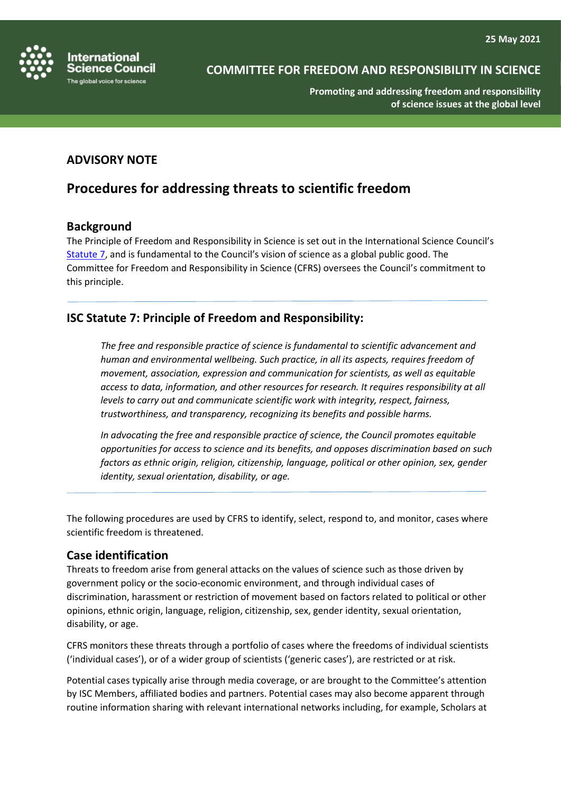

**Promoting and addressing freedom and responsibility of science issues at the global level**

## **ADVISORY NOTE**

## **Procedures for addressing threats to scientific freedom**

#### **Background**

The Principle of Freedom and Responsibility in Science is set out in the International Science Council's [Statute 7,](https://council.science/wp-content/uploads/2020/06/ISC-Statutes-and-Rules-of-Procedure_02.2021.pdf) and is fundamental to the Council's vision of science as a global public good. The Committee for Freedom and Responsibility in Science (CFRS) oversees the Council's commitment to this principle.

## **ISC Statute 7: Principle of Freedom and Responsibility:**

*The free and responsible practice of science is fundamental to scientific advancement and human and environmental wellbeing. Such practice, in all its aspects, requires freedom of movement, association, expression and communication for scientists, as well as equitable access to data, information, and other resources for research. It requires responsibility at all levels to carry out and communicate scientific work with integrity, respect, fairness, trustworthiness, and transparency, recognizing its benefits and possible harms.*

*In advocating the free and responsible practice of science, the Council promotes equitable opportunities for access to science and its benefits, and opposes discrimination based on such factors as ethnic origin, religion, citizenship, language, political or other opinion, sex, gender identity, sexual orientation, disability, or age.*

The following procedures are used by CFRS to identify, select, respond to, and monitor, cases where scientific freedom is threatened.

#### **Case identification**

Threats to freedom arise from general attacks on the values of science such as those driven by government policy or the socio-economic environment, and through individual cases of discrimination, harassment or restriction of movement based on factors related to political or other opinions, ethnic origin, language, religion, citizenship, sex, gender identity, sexual orientation, disability, or age.

CFRS monitors these threats through a portfolio of cases where the freedoms of individual scientists ('individual cases'), or of a wider group of scientists ('generic cases'), are restricted or at risk.

Potential cases typically arise through media coverage, or are brought to the Committee's attention by ISC Members, affiliated bodies and partners. Potential cases may also become apparent through routine information sharing with relevant international networks including, for example, Scholars at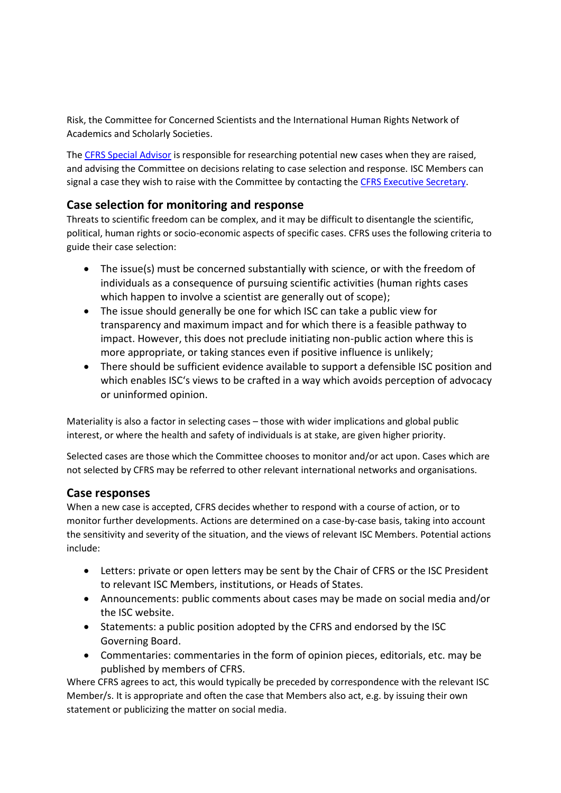Risk, the Committee for Concerned Scientists and the International Human Rights Network of Academics and Scholarly Societies.

The [CFRS Special Advisor](https://council.science/profile/frances-vaughan/) is responsible for researching potential new cases when they are raised, and advising the Committee on decisions relating to case selection and response. ISC Members can signal a case they wish to raise with the Committee by contacting the [CFRS Executive Secretary.](https://council.science/profile/vivi-stavrou/)

## **Case selection for monitoring and response**

Threats to scientific freedom can be complex, and it may be difficult to disentangle the scientific, political, human rights or socio-economic aspects of specific cases. CFRS uses the following criteria to guide their case selection:

- The issue(s) must be concerned substantially with science, or with the freedom of individuals as a consequence of pursuing scientific activities (human rights cases which happen to involve a scientist are generally out of scope);
- The issue should generally be one for which ISC can take a public view for transparency and maximum impact and for which there is a feasible pathway to impact. However, this does not preclude initiating non-public action where this is more appropriate, or taking stances even if positive influence is unlikely;
- There should be sufficient evidence available to support a defensible ISC position and which enables ISC's views to be crafted in a way which avoids perception of advocacy or uninformed opinion.

Materiality is also a factor in selecting cases – those with wider implications and global public interest, or where the health and safety of individuals is at stake, are given higher priority.

Selected cases are those which the Committee chooses to monitor and/or act upon. Cases which are not selected by CFRS may be referred to other relevant international networks and organisations.

#### **Case responses**

When a new case is accepted, CFRS decides whether to respond with a course of action, or to monitor further developments. Actions are determined on a case-by-case basis, taking into account the sensitivity and severity of the situation, and the views of relevant ISC Members. Potential actions include:

- Letters: private or open letters may be sent by the Chair of CFRS or the ISC President to relevant ISC Members, institutions, or Heads of States.
- Announcements: public comments about cases may be made on social media and/or the ISC website.
- Statements: a public position adopted by the CFRS and endorsed by the ISC Governing Board.
- Commentaries: commentaries in the form of opinion pieces, editorials, etc. may be published by members of CFRS.

Where CFRS agrees to act, this would typically be preceded by correspondence with the relevant ISC Member/s. It is appropriate and often the case that Members also act, e.g. by issuing their own statement or publicizing the matter on social media.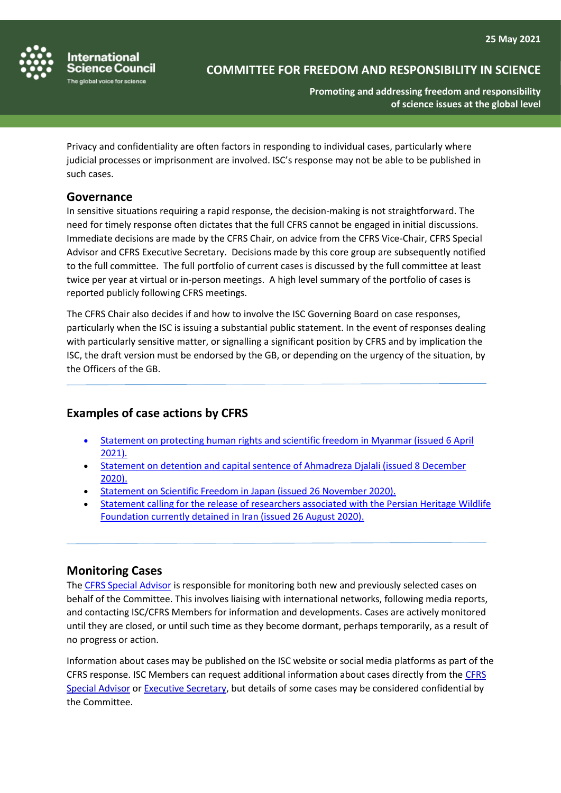

## **COMMITTEE FOR FREEDOM AND RESPONSIBILITY IN SCIENCE**

**Promoting and addressing freedom and responsibility of science issues at the global level**

Privacy and confidentiality are often factors in responding to individual cases, particularly where judicial processes or imprisonment are involved. ISC's response may not be able to be published in such cases.

#### **Governance**

In sensitive situations requiring a rapid response, the decision-making is not straightforward. The need for timely response often dictates that the full CFRS cannot be engaged in initial discussions. Immediate decisions are made by the CFRS Chair, on advice from the CFRS Vice-Chair, CFRS Special Advisor and CFRS Executive Secretary. Decisions made by this core group are subsequently notified to the full committee. The full portfolio of current cases is discussed by the full committee at least twice per year at virtual or in-person meetings. A high level summary of the portfolio of cases is reported publicly following CFRS meetings.

The CFRS Chair also decides if and how to involve the ISC Governing Board on case responses, particularly when the ISC is issuing a substantial public statement. In the event of responses dealing with particularly sensitive matter, or signalling a significant position by CFRS and by implication the ISC, the draft version must be endorsed by the GB, or depending on the urgency of the situation, by the Officers of the GB.

### **Examples of case actions by CFRS**

- [Statement on protecting human rights and scientific freedom in Myanmar \(issued 6 April](https://council.science/current/news/statement-on-protecting-human-rights-and-scientific-freedom-in-myanmar/)  [2021\)](https://council.science/current/news/statement-on-protecting-human-rights-and-scientific-freedom-in-myanmar/)*.*
- [Statement on detention and capital sentence of Ahmadreza Djalali \(issued 8 December](https://council.science/current/news/planned-execution-of-disaster-medicine-scholar-ahmadreza-djalali-must-be-halted-immediately/)  [2020\).](https://council.science/current/news/planned-execution-of-disaster-medicine-scholar-ahmadreza-djalali-must-be-halted-immediately/)
- [Statement on Scientific Freedom in Japan \(issued 26 November 2020\).](https://council.science/current/news/statement-on-scientific-freedom-in-japan/)
- [Statement calling for the release of researchers associated with the Persian Heritage Wildlife](https://council.science/current/news/the-isc-supports-urgent-appeals-for-conservation-biologists-imprisoned-in-iran/)  [Foundation currently detained in Iran \(issued 26 August 2020\).](https://council.science/current/news/the-isc-supports-urgent-appeals-for-conservation-biologists-imprisoned-in-iran/)

#### **Monitoring Cases**

The [CFRS Special Advisor](https://council.science/profile/frances-vaughan/) is responsible for monitoring both new and previously selected cases on behalf of the Committee. This involves liaising with international networks, following media reports, and contacting ISC/CFRS Members for information and developments. Cases are actively monitored until they are closed, or until such time as they become dormant, perhaps temporarily, as a result of no progress or action.

Information about cases may be published on the ISC website or social media platforms as part of the CFRS response. ISC Members can request additional information about cases directly from the [CFRS](https://council.science/profile/frances-vaughan/)  [Special Advisor](https://council.science/profile/frances-vaughan/) or [Executive Secretary,](https://council.science/profile/vivi-stavrou/) but details of some cases may be considered confidential by the Committee.